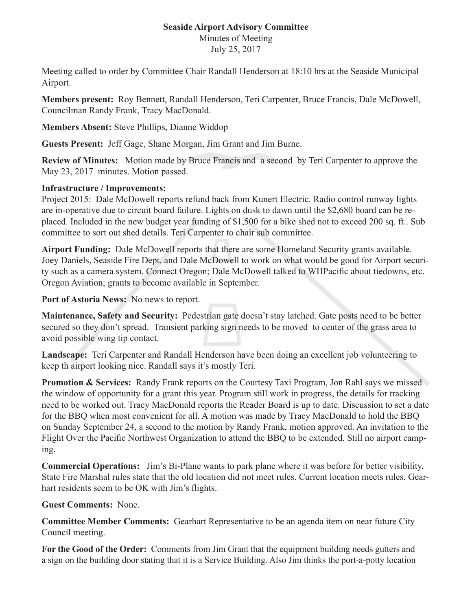## **Seaside Airport Advisory Committee**

Minutes of Meeting July 25, 2017

Meeting called to order by Committee Chair Randall Henderson at 18:10 hrs at the Seaside Municipal Airport.

**Members present:** Roy Bennett, Randall Henderson, Teri Carpenter, Bruce Francis, Dale McDowell, Councilman Randy Frank, Tracy MacDonald.

**Members Absent:** Steve Phillips, Dianne Widdop

**Guests Present:** Jeff Gage, Shane Morgan, Jim Grant and Jim Burne.

**Review of Minutes:** Motion made by Bruce Francis and a second by Teri Carpenter to approve the May 23, 2017 minutes. Motion passed.

## **Infrastructure / Improvements:**

Project 2015: Dale McDowell reports refund back from Kunert Electric. Radio control runway lights are in-operative due to circuit board failure. Lights on dusk to dawn until the \$2,680 board can be replaced. Included in the new budget year funding of \$1,500 for a bike shed not to exceed 200 sq. ft.. Sub committee to sort out shed details. Teri Carpenter to chair sub committee.

**Airport Funding:** Dale McDowell reports that there are some Homeland Security grants available. Joey Daniels, Seaside Fire Dept. and Dale McDowell to work on what would be good for Airport security such as a camera system. Connect Oregon; Dale McDowell talked to WHPacific about tiedowns, etc. Oregon Aviation; grants to become available in September.

**Port of Astoria News:** No news to report.

**Maintenance, Safety and Security:** Pedestrian gate doesn't stay latched. Gate posts need to be better secured so they don't spread. Transient parking sign needs to be moved to center of the grass area to avoid possible wing tip contact.

**Landscape:** Teri Carpenter and Randall Henderson have been doing an excellent job volunteering to keep th airport looking nice. Randall says it's mostly Teri.

**Promotion & Services:** Randy Frank reports on the Courtesy Taxi Program, Jon Rahl says we missed the window of opportunity for a grant this year. Program still work in progress, the details for tracking need to be worked out. Tracy MacDonald reports the Reader Board is up to date. Discussion to set a date for the BBQ when most convenient for all. A motion was made by Tracy MacDonald to hold the BBQ on Sunday September 24, a second to the motion by Randy Frank, motion approved. An invitation to the Flight Over the Pacific Northwest Organization to attend the BBQ to be extended. Still no airport camping.

**Commercial Operations:** Jim's Bi-Plane wants to park plane where it was before for better visibility, State Fire Marshal rules state that the old location did not meet rules. Current location meets rules. Gearhart residents seem to be OK with Jim's flights.

**Guest Comments:** None.

**Committee Member Comments:** Gearhart Representative to be an agenda item on near future City Council meeting.

**For the Good of the Order:** Comments from Jim Grant that the equipment building needs gutters and a sign on the building door stating that it is a Service Building. Also Jim thinks the port-a-potty location